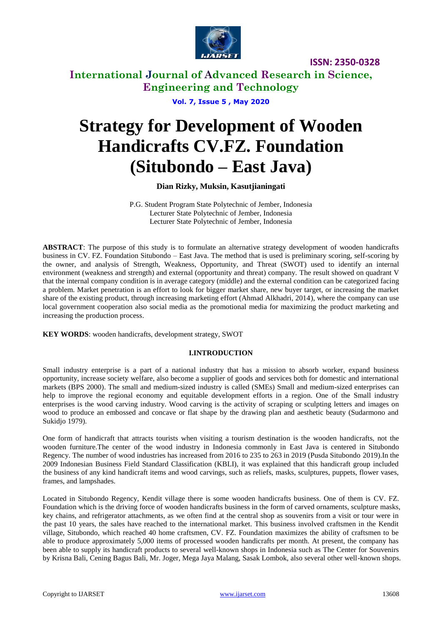

## **International Journal of Advanced Research in Science, Engineering and Technology**

**Vol. 7, Issue 5 , May 2020**

# **Strategy for Development of Wooden Handicrafts CV.FZ. Foundation (Situbondo – East Java)**

#### **Dian Rizky, Muksin, Kasutjianingati**

P.G. Student Program State Polytechnic of Jember, Indonesia Lecturer State Polytechnic of Jember, Indonesia Lecturer State Polytechnic of Jember, Indonesia

**ABSTRACT**: The purpose of this study is to formulate an alternative strategy development of wooden handicrafts business in CV. FZ. Foundation Situbondo – East Java. The method that is used is preliminary scoring, self-scoring by the owner, and analysis of Strength, Weakness, Opportunity, and Threat (SWOT) used to identify an internal environment (weakness and strength) and external (opportunity and threat) company. The result showed on quadrant V that the internal company condition is in average category (middle) and the external condition can be categorized facing a problem. Market penetration is an effort to look for bigger market share, new buyer target, or increasing the market share of the existing product, through increasing marketing effort (Ahmad Alkhadri, 2014), where the company can use local government cooperation also social media as the promotional media for maximizing the product marketing and increasing the production process.

**KEY WORDS**: wooden handicrafts, development strategy, SWOT

#### **I.INTRODUCTION**

Small industry enterprise is a part of a national industry that has a mission to absorb worker, expand business opportunity, increase society welfare, also become a supplier of goods and services both for domestic and international markets (BPS 2000). The small and medium-sized industry is called (SMEs) Small and medium-sized enterprises can help to improve the regional economy and equitable development efforts in a region. One of the Small industry enterprises is the wood carving industry. Wood carving is the activity of scraping or sculpting letters and images on wood to produce an embossed and concave or flat shape by the drawing plan and aesthetic beauty (Sudarmono and Sukidjo 1979).

One form of handicraft that attracts tourists when visiting a tourism destination is the wooden handicrafts, not the wooden furniture.The center of the wood industry in Indonesia commonly in East Java is centered in Situbondo Regency. The number of wood industries has increased from 2016 to 235 to 263 in 2019 (Pusda Situbondo 2019).In the 2009 Indonesian Business Field Standard Classification (KBLI), it was explained that this handicraft group included the business of any kind handicraft items and wood carvings, such as reliefs, masks, sculptures, puppets, flower vases, frames, and lampshades.

Located in Situbondo Regency, Kendit village there is some wooden handicrafts business. One of them is CV. FZ. Foundation which is the driving force of wooden handicrafts business in the form of carved ornaments, sculpture masks, key chains, and refrigerator attachments, as we often find at the central shop as souvenirs from a visit or tour were in the past 10 years, the sales have reached to the international market. This business involved craftsmen in the Kendit village, Situbondo, which reached 40 home craftsmen, CV. FZ. Foundation maximizes the ability of craftsmen to be able to produce approximately 5,000 items of processed wooden handicrafts per month. At present, the company has been able to supply its handicraft products to several well-known shops in Indonesia such as The Center for Souvenirs by Krisna Bali, Cening Bagus Bali, Mr. Joger, Mega Jaya Malang, Sasak Lombok, also several other well-known shops.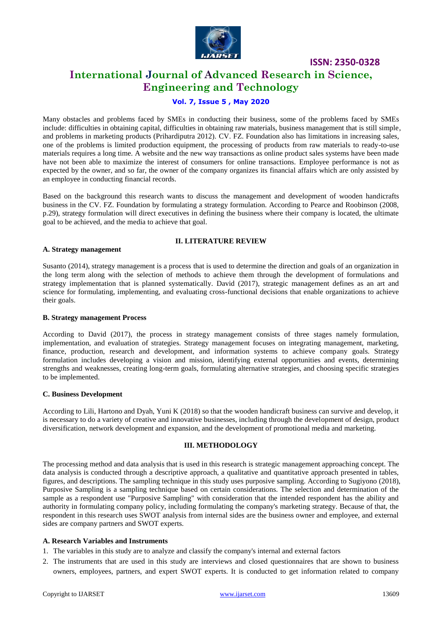

## **International Journal of Advanced Research in Science, Engineering and Technology**

#### **Vol. 7, Issue 5 , May 2020**

Many obstacles and problems faced by SMEs in conducting their business, some of the problems faced by SMEs include: difficulties in obtaining capital, difficulties in obtaining raw materials, business management that is still simple, and problems in marketing products (Prihardiputra 2012). CV. FZ. Foundation also has limitations in increasing sales, one of the problems is limited production equipment, the processing of products from raw materials to ready-to-use materials requires a long time. A website and the new way transactions as online product sales systems have been made have not been able to maximize the interest of consumers for online transactions. Employee performance is not as expected by the owner, and so far, the owner of the company organizes its financial affairs which are only assisted by an employee in conducting financial records.

Based on the background this research wants to discuss the management and development of wooden handicrafts business in the CV. FZ. Foundation by formulating a strategy formulation. According to Pearce and Roobinson (2008, p.29), strategy formulation will direct executives in defining the business where their company is located, the ultimate goal to be achieved, and the media to achieve that goal.

#### **II. LITERATURE REVIEW**

Susanto (2014), strategy management is a process that is used to determine the direction and goals of an organization in the long term along with the selection of methods to achieve them through the development of formulations and strategy implementation that is planned systematically. David (2017), strategic management defines as an art and science for formulating, implementing, and evaluating cross-functional decisions that enable organizations to achieve their goals.

#### **B. Strategy management Process**

**A. Strategy management**

According to David (2017), the process in strategy management consists of three stages namely formulation, implementation, and evaluation of strategies. Strategy management focuses on integrating management, marketing, finance, production, research and development, and information systems to achieve company goals. Strategy formulation includes developing a vision and mission, identifying external opportunities and events, determining strengths and weaknesses, creating long-term goals, formulating alternative strategies, and choosing specific strategies to be implemented.

#### **C. Business Development**

According to Lili, Hartono and Dyah, Yuni K (2018) so that the wooden handicraft business can survive and develop, it is necessary to do a variety of creative and innovative businesses, including through the development of design, product diversification, network development and expansion, and the development of promotional media and marketing.

#### **III. METHODOLOGY**

The processing method and data analysis that is used in this research is strategic management approaching concept. The data analysis is conducted through a descriptive approach, a qualitative and quantitative approach presented in tables, figures, and descriptions. The sampling technique in this study uses purposive sampling. According to Sugiyono (2018), Purposive Sampling is a sampling technique based on certain considerations. The selection and determination of the sample as a respondent use "Purposive Sampling" with consideration that the intended respondent has the ability and authority in formulating company policy, including formulating the company's marketing strategy. Because of that, the respondent in this research uses SWOT analysis from internal sides are the business owner and employee, and external sides are company partners and SWOT experts.

#### **A. Research Variables and Instruments**

- 1. The variables in this study are to analyze and classify the company's internal and external factors
- 2. The instruments that are used in this study are interviews and closed questionnaires that are shown to business owners, employees, partners, and expert SWOT experts. It is conducted to get information related to company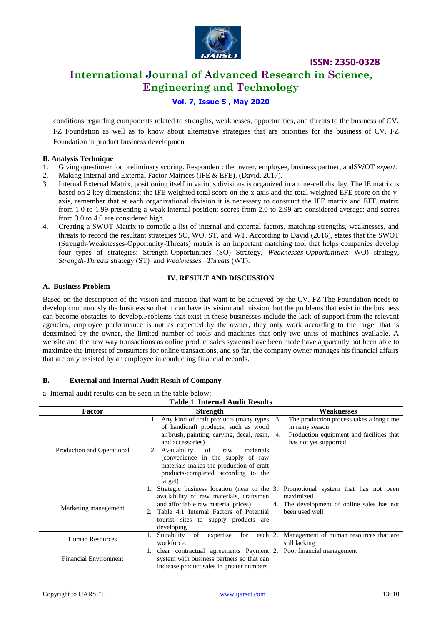

## **International Journal of Advanced Research in Science, Engineering and Technology**

#### **Vol. 7, Issue 5 , May 2020**

conditions regarding components related to strengths, weaknesses, opportunities, and threats to the business of CV. FZ Foundation as well as to know about alternative strategies that are priorities for the business of CV. FZ Foundation in product business development.

#### **B. Analysis Technique**

- 1. Giving questioner for preliminary scoring. Respondent: the owner, employee, business partner, andSWOT *expert*.
- 2. Making Internal and External Factor Matrices (IFE & EFE). (David, 2017).
- 3. Internal External Matrix, positioning itself in various divisions is organized in a nine-cell display. The IE matrix is based on 2 key dimensions: the IFE weighted total score on the x-axis and the total weighted EFE score on the yaxis, remember that at each organizational division it is necessary to construct the IFE matrix and EFE matrix from 1.0 to 1.99 presenting a weak internal position: scores from 2.0 to 2.99 are considered average: and scores from 3.0 to 4.0 are considered high.
- 4. Creating a SWOT Matrix to compile a list of internal and external factors, matching strengths, weaknesses, and threats to record the resultant strategies SO, WO, ST, and WT. According to David (2016), states that the SWOT (Strength-Weaknesses-Opportunity-Threats) matrix is an important matching tool that helps companies develop four types of strategies: Strength-Opportunities (SO) Strategy, *Weaknesses-Opportunities*: WO) strategy, *Strength-Threats* strategy (ST) and *Weaknesses –Threats* (WT).

#### **IV. RESULT AND DISCUSSION**

#### **A. Business Problem**

Based on the description of the vision and mission that want to be achieved by the CV. FZ The Foundation needs to develop continuously the business so that it can have its vision and mission, but the problems that exist in the business can become obstacles to develop.Problems that exist in these businesses include the lack of support from the relevant agencies, employee performance is not as expected by the owner, they only work according to the target that is determined by the owner, the limited number of tools and machines that only two units of machines available. A website and the new way transactions as online product sales systems have been made have apparently not been able to maximize the interest of consumers for online transactions, and so far, the company owner manages his financial affairs that are only assisted by an employee in conducting financial records.

#### **B. External and Internal Audit Result of Company**

a. Internal audit results can be seen in the table below:

| <b>Table 1. Internal Audit Results</b> |                                                                                                                                                                                                                                                                                                                                       |                                                                                                                                              |  |  |  |
|----------------------------------------|---------------------------------------------------------------------------------------------------------------------------------------------------------------------------------------------------------------------------------------------------------------------------------------------------------------------------------------|----------------------------------------------------------------------------------------------------------------------------------------------|--|--|--|
| Factor                                 | <b>Strength</b>                                                                                                                                                                                                                                                                                                                       | Weaknesses                                                                                                                                   |  |  |  |
| Production and Operational             | 1. Any kind of craft products (many types<br>of handicraft products, such as wood<br>airbrush, painting, carving, decal, resin,<br>and accessories)<br>Availability<br>2.<br>of<br>materials<br>raw<br>(convenience in the supply of raw<br>materials makes the production of craft<br>products-completed according to the<br>target) | 3.<br>The production process takes a long time<br>in rainy season<br>Production equipment and facilities that<br>4.<br>has not yet supported |  |  |  |
| Marketing management                   | Strategic business location (near to the B.<br>availability of raw materials, craftsmen<br>and affordable raw material prices)<br>Table 4.1 Internal Factors of Potential<br>tourist sites to supply products are<br>developing                                                                                                       | Promotional system that has not been<br>maximized<br>The development of online sales has not<br>4.<br>been used well                         |  |  |  |
| <b>Human Resources</b>                 | Suitability<br>for<br>of<br>each 2.<br>expertise<br>workforce.                                                                                                                                                                                                                                                                        | Management of human resources that are<br>still lacking                                                                                      |  |  |  |
| <b>Financial Environment</b>           | clear contractual agreements Payment 2.<br>system with business partners so that can<br>increase product sales in greater numbers                                                                                                                                                                                                     | Poor financial management                                                                                                                    |  |  |  |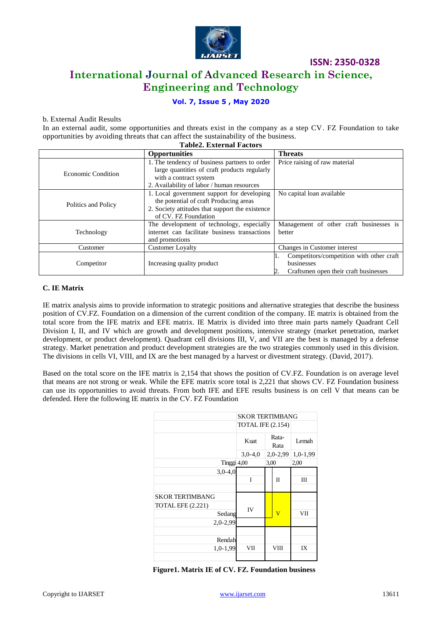

**International Journal of Advanced Research in Science, Engineering and Technology**

#### **Vol. 7, Issue 5 , May 2020**

#### b. External Audit Results

In an external audit, some opportunities and threats exist in the company as a step CV. FZ Foundation to take opportunities by avoiding threats that can affect the sustainability of the business. **Table2. External Factors**

| Tablez. External Factors |                                                                                                                                                                       |                                                                                                 |  |  |
|--------------------------|-----------------------------------------------------------------------------------------------------------------------------------------------------------------------|-------------------------------------------------------------------------------------------------|--|--|
|                          | <b>Opportunities</b>                                                                                                                                                  | <b>Threats</b>                                                                                  |  |  |
| Economic Condition       | 1. The tendency of business partners to order<br>large quantities of craft products regularly<br>with a contract system<br>2. Availability of labor / human resources | Price raising of raw material                                                                   |  |  |
| Politics and Policy      | 1. Local government support for developing<br>the potential of craft Producing areas<br>2. Society attitudes that support the existence<br>of CV. FZ Foundation       | No capital loan available                                                                       |  |  |
| Technology               | The development of technology, especially<br>internet can facilitate business transactions<br>and promotions                                                          | Management of other craft businesses is<br>better                                               |  |  |
| Customer                 | <b>Customer Loyalty</b>                                                                                                                                               | Changes in Customer interest                                                                    |  |  |
| Competitor               | Increasing quality product                                                                                                                                            | Competitors/competition with other craft<br>businesses<br>Craftsmen open their craft businesses |  |  |

#### **C. IE Matrix**

IE matrix analysis aims to provide information to strategic positions and alternative strategies that describe the business position of CV.FZ. Foundation on a dimension of the current condition of the company. IE matrix is obtained from the total score from the IFE matrix and EFE matrix. IE Matrix is divided into three main parts namely Quadrant Cell Division I, II, and IV which are growth and development positions, intensive strategy (market penetration, market development, or product development). Quadrant cell divisions III, V, and VII are the best is managed by a defense strategy. Market penetration and product development strategies are the two strategies commonly used in this division. The divisions in cells VI, VIII, and IX are the best managed by a harvest or divestment strategy. (David, 2017).

Based on the total score on the IFE matrix is 2,154 that shows the position of CV.FZ. Foundation is on average level that means are not strong or weak. While the EFE matrix score total is 2,221 that shows CV. FZ Foundation business can use its opportunities to avoid threats. From both IFE and EFE results business is on cell V that means can be defended. Here the following IE matrix in the CV. FZ Foundation

|                                                                            | <b>SKOR TERTIMBANG</b>   |                       |            |
|----------------------------------------------------------------------------|--------------------------|-----------------------|------------|
|                                                                            | <b>TOTAL IFE (2.154)</b> |                       |            |
|                                                                            | Kuat                     | Rata-<br>Rata         | Lemah      |
|                                                                            | $3,0-4,0$                | $2,0-2,99$            | $1,0-1,99$ |
| Tinggi 4,00                                                                |                          | 3,00                  | 2,00       |
| $3,0-4,0$                                                                  | I                        | $_{\rm II}$           | Ш          |
| <b>SKOR TERTIMBANG</b><br><b>TOTAL EFE (2.221)</b><br>Sedang<br>$2,0-2,99$ | IV                       | $\overline{\text{V}}$ | VІІ        |
| Rendah<br>$1,0-1,99$                                                       | VII                      | VIII                  | IX         |

**Figure1. Matrix IE of CV. FZ. Foundation business**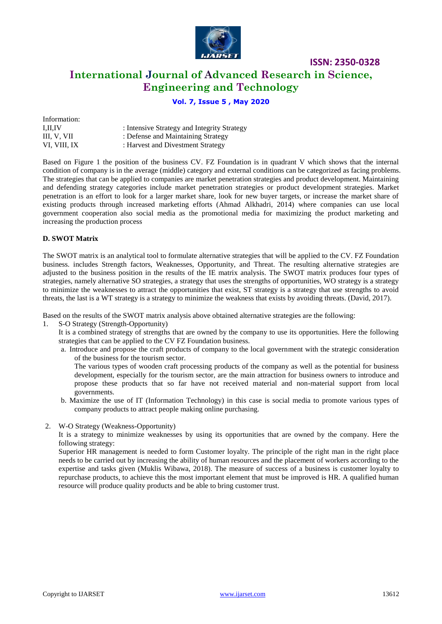

## **International Journal of Advanced Research in Science, Engineering and Technology**

#### **Vol. 7, Issue 5 , May 2020**

| Information:   |                                             |
|----------------|---------------------------------------------|
| <b>I.II.IV</b> | : Intensive Strategy and Integrity Strategy |
| III. V. VII    | : Defense and Maintaining Strategy          |
| VI. VIII. IX   | : Harvest and Divestment Strategy           |

Based on Figure 1 the position of the business CV. FZ Foundation is in quadrant V which shows that the internal condition of company is in the average (middle) category and external conditions can be categorized as facing problems. The strategies that can be applied to companies are market penetration strategies and product development. Maintaining and defending strategy categories include market penetration strategies or product development strategies. Market penetration is an effort to look for a larger market share, look for new buyer targets, or increase the market share of existing products through increased marketing efforts (Ahmad Alkhadri, 2014) where companies can use local government cooperation also social media as the promotional media for maximizing the product marketing and increasing the production process

#### **D. SWOT Matrix**

The SWOT matrix is an analytical tool to formulate alternative strategies that will be applied to the CV. FZ Foundation business. includes Strength factors, Weaknesses, Opportunity, and Threat. The resulting alternative strategies are adjusted to the business position in the results of the IE matrix analysis. The SWOT matrix produces four types of strategies, namely alternative SO strategies, a strategy that uses the strengths of opportunities, WO strategy is a strategy to minimize the weaknesses to attract the opportunities that exist, ST strategy is a strategy that use strengths to avoid threats, the last is a WT strategy is a strategy to minimize the weakness that exists by avoiding threats. (David, 2017).

Based on the results of the SWOT matrix analysis above obtained alternative strategies are the following:

- 1. S-O Strategy (Strength-Opportunity)
	- It is a combined strategy of strengths that are owned by the company to use its opportunities. Here the following strategies that can be applied to the CV FZ Foundation business.
	- a. Introduce and propose the craft products of company to the local government with the strategic consideration of the business for the tourism sector.

The various types of wooden craft processing products of the company as well as the potential for business development, especially for the tourism sector, are the main attraction for business owners to introduce and propose these products that so far have not received material and non-material support from local governments.

- b. Maximize the use of IT (Information Technology) in this case is social media to promote various types of company products to attract people making online purchasing.
- 2. W-O Strategy (Weakness-Opportunity)

It is a strategy to minimize weaknesses by using its opportunities that are owned by the company. Here the following strategy:

Superior HR management is needed to form Customer loyalty. The principle of the right man in the right place needs to be carried out by increasing the ability of human resources and the placement of workers according to the expertise and tasks given (Muklis Wibawa, 2018). The measure of success of a business is customer loyalty to repurchase products, to achieve this the most important element that must be improved is HR. A qualified human resource will produce quality products and be able to bring customer trust.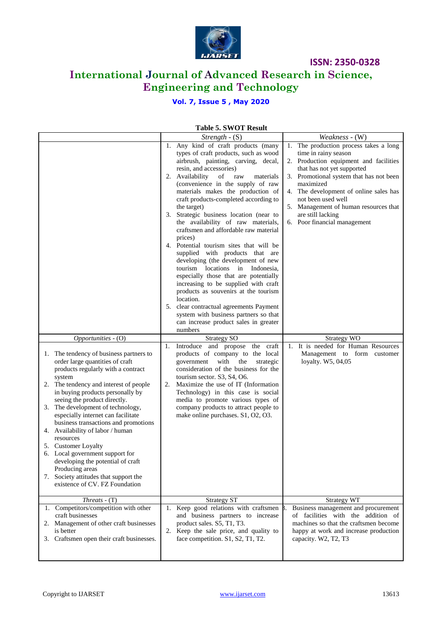

## **International Journal of Advanced Research in Science, Engineering and Technology**

### **Vol. 7, Issue 5 , May 2020**

## **Table 5. SWOT Result**

|                                           | LADIC J. D II O L'INCOUIL                  |                                           |
|-------------------------------------------|--------------------------------------------|-------------------------------------------|
|                                           | Strength $-S$ (S)                          | Weakness - (W)                            |
|                                           | 1. Any kind of craft products (many        | The production process takes a long<br>1. |
|                                           | types of craft products, such as wood      | time in rainy season                      |
|                                           | airbrush, painting, carving, decal,        | 2. Production equipment and facilities    |
|                                           | resin, and accessories)                    | that has not yet supported                |
|                                           | 2. Availability<br>of<br>raw<br>materials  | 3. Promotional system that has not been   |
|                                           | (convenience in the supply of raw          | maximized                                 |
|                                           | materials makes the production of          | 4. The development of online sales has    |
|                                           | craft products-completed according to      | not been used well                        |
|                                           | the target)                                | 5. Management of human resources that     |
|                                           | Strategic business location (near to<br>3. | are still lacking                         |
|                                           | the availability of raw materials,         | 6. Poor financial management              |
|                                           | craftsmen and affordable raw material      |                                           |
|                                           | prices)                                    |                                           |
|                                           | 4. Potential tourism sites that will be    |                                           |
|                                           | supplied with products that are            |                                           |
|                                           | developing (the development of new         |                                           |
|                                           | tourism locations in Indonesia,            |                                           |
|                                           | especially those that are potentially      |                                           |
|                                           | increasing to be supplied with craft       |                                           |
|                                           | products as souvenirs at the tourism       |                                           |
|                                           | location.                                  |                                           |
|                                           | 5. clear contractual agreements Payment    |                                           |
|                                           | system with business partners so that      |                                           |
|                                           | can increase product sales in greater      |                                           |
|                                           | numbers                                    |                                           |
| Opportunities - (O)                       | <b>Strategy SO</b>                         | Strategy WO                               |
|                                           | Introduce and propose the craft<br>1.      | 1. It is needed for Human Resources       |
| 1. The tendency of business partners to   | products of company to the local           | Management to form customer               |
| order large quantities of craft           | government<br>with<br>the<br>strategic     | loyalty. W5, 04,05                        |
| products regularly with a contract        | consideration of the business for the      |                                           |
| system                                    | tourism sector. S3, S4, O6.                |                                           |
| 2. The tendency and interest of people    | Maximize the use of IT (Information<br>2.  |                                           |
| in buying products personally by          | Technology) in this case is social         |                                           |
| seeing the product directly.              | media to promote various types of          |                                           |
| 3. The development of technology,         | company products to attract people to      |                                           |
| especially internet can facilitate        | make online purchases. S1, O2, O3.         |                                           |
| business transactions and promotions      |                                            |                                           |
| 4. Availability of labor / human          |                                            |                                           |
| resources                                 |                                            |                                           |
| 5. Customer Loyalty                       |                                            |                                           |
| 6. Local government support for           |                                            |                                           |
| developing the potential of craft         |                                            |                                           |
| Producing areas                           |                                            |                                           |
| 7. Society attitudes that support the     |                                            |                                           |
| existence of CV. FZ Foundation            |                                            |                                           |
|                                           |                                            |                                           |
| $Threats - (T)$                           | <b>Strategy ST</b>                         | <b>Strategy WT</b>                        |
| 1. Competitors/competition with other     | 1. Keep good relations with craftsmen      | Business management and procurement       |
| craft businesses                          | and business partners to increase          | of facilities with the addition of        |
| 2. Management of other craft businesses   | product sales. S5, T1, T3.                 | machines so that the craftsmen become     |
| is better                                 |                                            |                                           |
|                                           | 2. Keep the sale price, and quality to     | happy at work and increase production     |
| 3. Craftsmen open their craft businesses. | face competition. S1, S2, T1, T2.          | capacity. W2, T2, T3                      |
|                                           |                                            |                                           |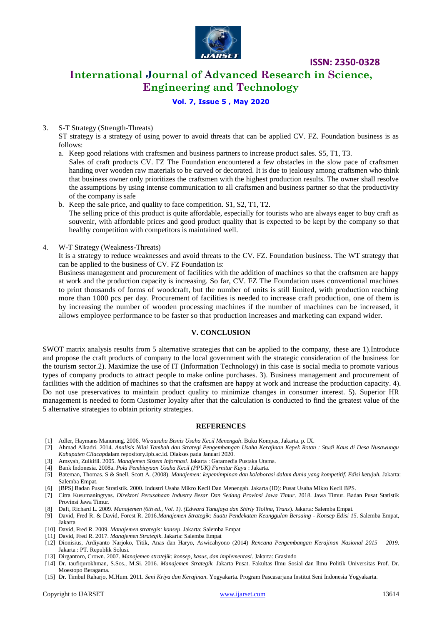

## **International Journal of Advanced Research in Science, Engineering and Technology**

#### **Vol. 7, Issue 5 , May 2020**

#### 3. S-T Strategy (Strength-Threats)

ST strategy is a strategy of using power to avoid threats that can be applied CV. FZ. Foundation business is as follows:

- a. Keep good relations with craftsmen and business partners to increase product sales. S5, T1, T3. Sales of craft products CV. FZ The Foundation encountered a few obstacles in the slow pace of craftsmen handing over wooden raw materials to be carved or decorated. It is due to jealousy among craftsmen who think that business owner only prioritizes the craftsmen with the highest production results. The owner shall resolve the assumptions by using intense communication to all craftsmen and business partner so that the productivity of the company is safe
- b. Keep the sale price, and quality to face competition. S1, S2, T1, T2. The selling price of this product is quite affordable, especially for tourists who are always eager to buy craft as souvenir, with affordable prices and good product quality that is expected to be kept by the company so that healthy competition with competitors is maintained well.
- 4. W-T Strategy (Weakness-Threats)

It is a strategy to reduce weaknesses and avoid threats to the CV. FZ. Foundation business. The WT strategy that can be applied to the business of CV. FZ Foundation is:

Business management and procurement of facilities with the addition of machines so that the craftsmen are happy at work and the production capacity is increasing. So far, CV. FZ The Foundation uses conventional machines to print thousands of forms of woodcraft, but the number of units is still limited, with production reaching more than 1000 pcs per day. Procurement of facilities is needed to increase craft production, one of them is by increasing the number of wooden processing machines if the number of machines can be increased, it allows employee performance to be faster so that production increases and marketing can expand wider.

#### **V. CONCLUSION**

SWOT matrix analysis results from 5 alternative strategies that can be applied to the company, these are 1).Introduce and propose the craft products of company to the local government with the strategic consideration of the business for the tourism sector.2). Maximize the use of IT (Information Technology) in this case is social media to promote various types of company products to attract people to make online purchases. 3). Business management and procurement of facilities with the addition of machines so that the craftsmen are happy at work and increase the production capacity. 4). Do not use preservatives to maintain product quality to minimize changes in consumer interest. 5). Superior HR management is needed to form Customer loyalty after that the calculation is conducted to find the greatest value of the 5 alternative strategies to obtain priority strategies.

#### **REFERENCES**

- [1] Adler, Haymans Manurung. 2006. *Wirausaha Bisnis Usaha Kecil Menengah*. Buku Kompas, Jakarta. p. IX.
- [2] Ahmad Alkadri. 2014. *Analisis Nilai Tambah dan Strategi Pengembangan Usaha Kerajinan Kepek Rotan : Studi Kaus di Desa Nusawungu Kabupaten Cilacap*dalam repository.ipb.ac.id. Diakses pada Januari 2020.
- [3] Amsyah, Zulkifli. 2005. *Manajemen Sistem Informasi*. Jakarta : Garamedia Pustaka Utama.
- [4] Bank Indonesia. 2008a. *Pola Pembiayaan Usaha Kecil (PPUK) Furnitur Kayu* : Jakarta.
- [5] Bateman, Thomas. S & Snell, Scott A. (2008). *Manajemen: kepemimpinan dan kolaborasi dalam dunia yang kompetitif. Edisi ketujuh.* Jakarta: Salemba Empat.
- [6] [BPS] Badan Pusat Stratistik. 2000. Industri Usaha Mikro Kecil Dan Menengah. Jakarta (ID): Pusat Usaha Mikro Kecil BPS.
- [7] Citra Kusumaningtyas. *Direktori Perusahaan Industry Besar Dan Sedang Provinsi Jawa Timur*. 2018. Jawa Timur. Badan Pusat Statistik Provinsi Jawa Timur.
- [8] Daft, Richard L. 2009. *Manajemen (6th ed., Vol. 1). (Edward Tanujaya dan Shirly Tiolina, Trans*). Jakarta: Salemba Empat.
- [9] David, Fred R. & David, Forest R. 2016.*Manajemen Strategik: Suatu Pendekatan Keunggulan Bersaing - Konsep Edisi 15*. Salemba Empat, Jakarta
- [10] David, Fred R. 2009. *Manajemen strategis: konsep*. Jakarta: Salemba Empat
- [11] David, Fred R. 2017. *Manajemen Strategik*. Jakarta: Salemba Empat
- [12] Dionisius, Ardiyanto Narjoko, Titik, Anas dan Haryo, Aswicahyono (2014) *Rencana Pengembangan Kerajinan Nasional 2015 – 2019*. Jakarta : PT. Republik Solusi.
- [13] Dirgantoro, Crown. 2007. *Manajemen stratejik: konsep, kasus, dan implementasi*. Jakarta: Grasindo
- [14] Dr. taufiqurokhman, S.Sos., M.Si. 2016. *Manajemen Strategik.* Jakarta Pusat. Fakultas Ilmu Sosial dan Ilmu Politik Universitas Prof. Dr. Moestopo Beragama.
- [15] Dr. Timbul Raharjo, M.Hum. 2011. *Seni Kriya dan Kerajinan*. Yogyakarta. Program Pascasarjana Institut Seni Indonesia Yogyakarta.